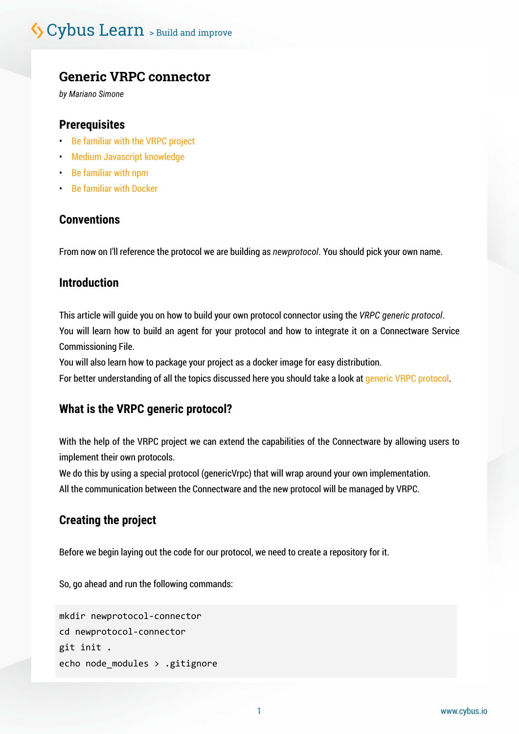## **Generic VRPC connector**

*by Mariano Simone*

## **Prerequisites**

- [Be familiar with the VRPC project](mailto:https://github.com/bheisen/vrpc?subject=)
- [Medium Javascript knowledge](mailto:https://javascript.info/?subject=)
- [Be familiar with npm](mailto:https://nodesource.com/blog/an-absolute-beginners-guide-to-using-npm/?subject=)
- [Be familiar with Docker](mailto:https://docker-curriculum.com/?subject=)

## **Conventions**

From now on I'll reference the protocol we are building as *newprotocol*. You should pick your own name.

## **Introduction**

This article will guide you on how to build your own protocol connector using the *VRPC generic protocol*. You will learn how to build an agent for your protocol and how to integrate it on a Connectware Service Commissioning File.

You will also learn how to package your project as a docker image for easy distribution. For better understanding of all the topics discussed here you should take a look at [generic VRPC protocol](mailto:https://docs.cybus.io/latest/user/protocols/genericVrpc.html?subject=).

## **What is the VRPC generic protocol?**

With the help of the VRPC project we can extend the capabilities of the Connectware by allowing users to implement their own protocols.

We do this by using a special protocol (genericVrpc) that will wrap around your own implementation. All the communication between the Connectware and the new protocol will be managed by VRPC.

## **Creating the project**

Before we begin laying out the code for our protocol, we need to create a repository for it.

So, go ahead and run the following commands:

```
mkdir newprotocol-connector
cd newprotocol-connector
git init .
echo node_modules > .gitignore
```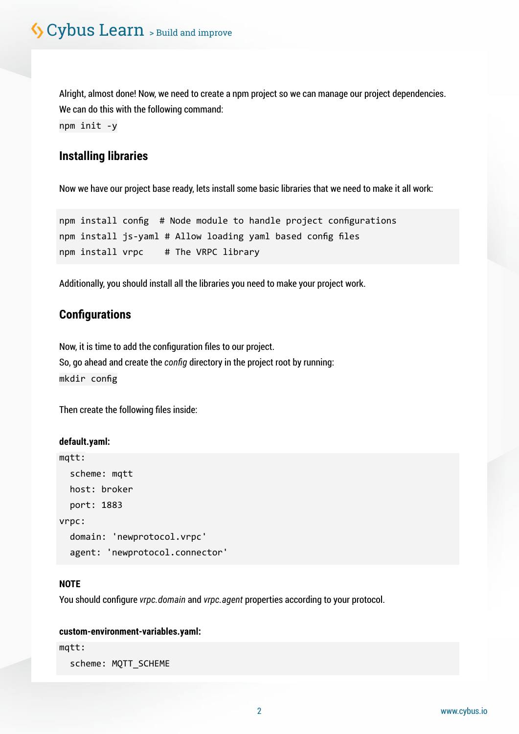Alright, almost done! Now, we need to create a npm project so we can manage our project dependencies. We can do this with the following command: npm init -y

## **Installing libraries**

Now we have our project base ready, lets install some basic libraries that we need to make it all work:

```
npm install config # Node module to handle project configurations
npm install js-yaml # Allow loading yaml based config files
npm install vrpc # The VRPC library
```
Additionally, you should install all the libraries you need to make your project work.

## **Configurations**

Now, it is time to add the configuration files to our project. So, go ahead and create the *config* directory in the project root by running: mkdir config

Then create the following files inside:

#### **default.yaml:**

```
mqtt:
   scheme: mqtt
   host: broker
   port: 1883
vrpc:
   domain: 'newprotocol.vrpc'
   agent: 'newprotocol.connector'
```
#### **NOTE**

You should configure *vrpc.domain* and *vrpc.agent* properties according to your protocol.

#### **custom-environment-variables.yaml:**

mqtt:

scheme: MQTT\_SCHEME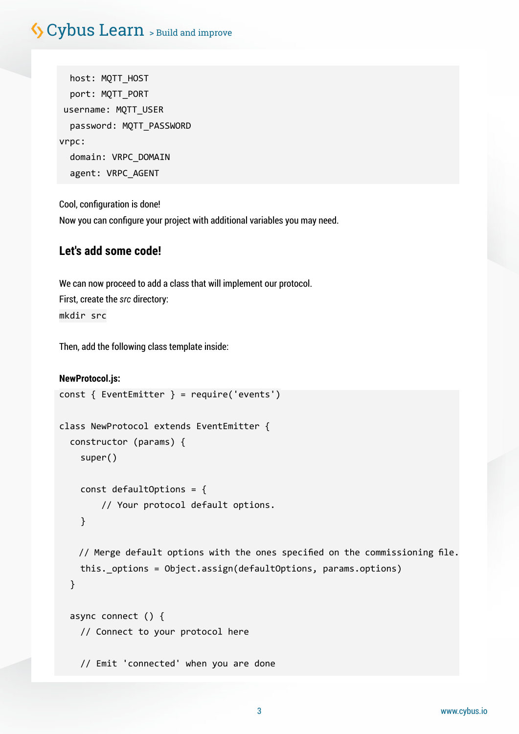# S Cybus Learn > Build and improve

 host: MQTT\_HOST port: MQTT\_PORT username: MQTT\_USER password: MQTT\_PASSWORD vrpc: domain: VRPC\_DOMAIN agent: VRPC\_AGENT

Cool, configuration is done! Now you can configure your project with additional variables you may need.

## **Let's add some code!**

We can now proceed to add a class that will implement our protocol. First, create the *src* directory: mkdir src

Then, add the following class template inside:

```
NewProtocol.js:
const { EventEmitter } = require('events')
class NewProtocol extends EventEmitter {
   constructor (params) {
     super()
     const defaultOptions = {
         // Your protocol default options.
     }
    // Merge default options with the ones specified on the commissioning file.
     this._options = Object.assign(defaultOptions, params.options)
   }
   async connect () {
     // Connect to your protocol here
     // Emit 'connected' when you are done
```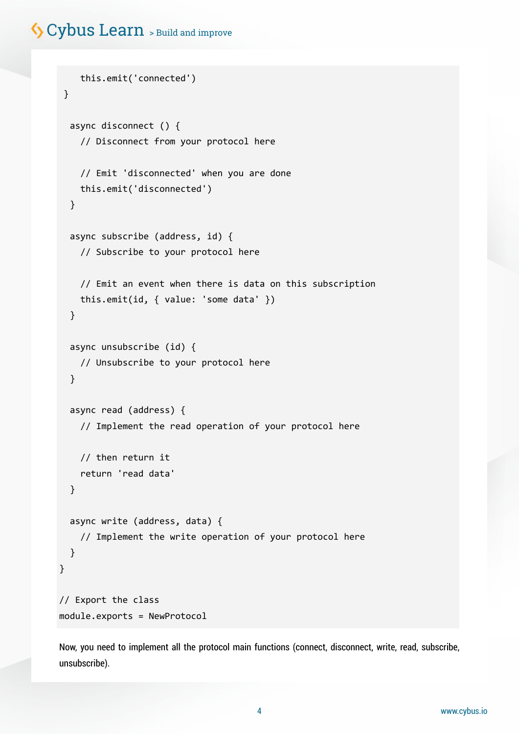# Cybus Learn > Build and improve

```
 this.emit('connected')
 }
   async disconnect () {
     // Disconnect from your protocol here
     // Emit 'disconnected' when you are done
     this.emit('disconnected')
   }
   async subscribe (address, id) {
    // Subscribe to your protocol here
     // Emit an event when there is data on this subscription
     this.emit(id, { value: 'some data' })
   }
   async unsubscribe (id) {
    // Unsubscribe to your protocol here
   }
   async read (address) {
     // Implement the read operation of your protocol here
    // then return it
     return 'read data'
   }
  async write (address, data) {
     // Implement the write operation of your protocol here
   }
}
// Export the class
module.exports = NewProtocol
```
Now, you need to implement all the protocol main functions (connect, disconnect, write, read, subscribe, unsubscribe).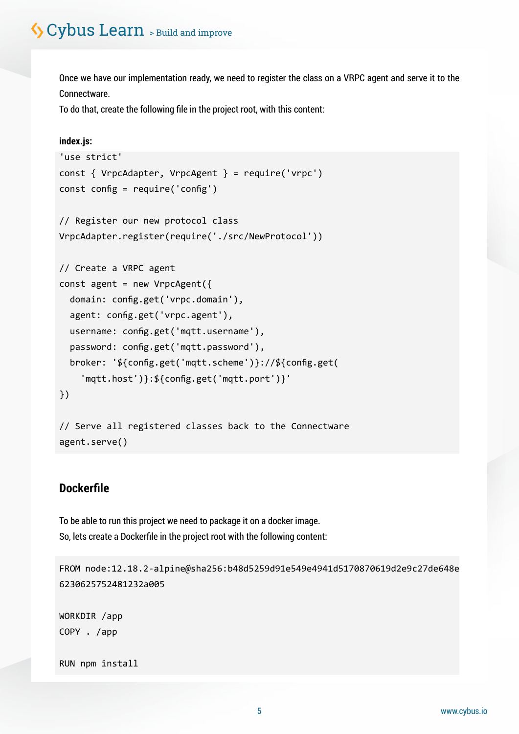Once we have our implementation ready, we need to register the class on a VRPC agent and serve it to the Connectware.

To do that, create the following file in the project root, with this content:

#### **index.js:**

```
'use strict'
const { VrpcAdapter, VrpcAgent } = require('vrpc')
const config = require('config')
// Register our new protocol class
VrpcAdapter.register(require('./src/NewProtocol'))
// Create a VRPC agent
const agent = new VrpcAgent({} domain: config.get('vrpc.domain'),
   agent: config.get('vrpc.agent'),
  username: config.get('mqtt.username'),
   password: config.get('mqtt.password'),
   broker: '${config.get('mqtt.scheme')}://${config.get(
     'mqtt.host')}:${config.get('mqtt.port')}'
})
// Serve all registered classes back to the Connectware
agent.serve()
```
## **Dockerfile**

To be able to run this project we need to package it on a docker image. So, lets create a Dockerfile in the project root with the following content:

FROM node:12.18.2-alpine@sha256:b48d5259d91e549e4941d5170870619d2e9c27de648e 6230625752481232a005

WORKDIR /app COPY . /app

RUN npm install